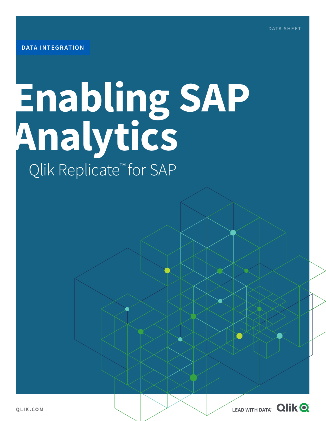# **Enabling SAP Analytics** Qlik Replicate<sup>™</sup> for SAP

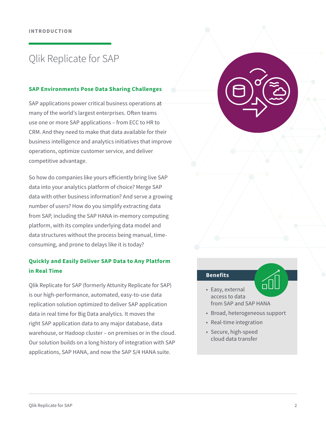## Qlik Replicate for SAP

#### **SAP Environments Pose Data Sharing Challenges**

SAP applications power critical business operations at many of the world's largest enterprises. Often teams use one or more SAP applications – from ECC to HR to CRM. And they need to make that data available for their business intelligence and analytics initiatives that improve operations, optimize customer service, and deliver competitive advantage.

So how do companies like yours efficiently bring live SAP data into your analytics platform of choice? Merge SAP data with other business information? And serve a growing number of users? How do you simplify extracting data from SAP, including the SAP HANA in-memory computing platform, with its complex underlying data model and data structures without the process being manual, timeconsuming, and prone to delays like it is today?

### **Quickly and Easily Deliver SAP Data to Any Platform in Real Time**

Qlik Replicate for SAP (formerly Attunity Replicate for SAP) is our high-performance, automated, easy-to-use data replication solution optimized to deliver SAP application data in real time for Big Data analytics. It moves the right SAP application data to any major database, data warehouse, or Hadoop cluster – on premises or in the cloud. Our solution builds on a long history of integration with SAP applications, SAP HANA, and now the SAP S/4 HANA suite.



#### **Benefits**

- Easy, external access to data from SAP and SAP HANA
- Broad, heterogeneous support
- Real-time integration
- Secure, high-speed cloud data transfer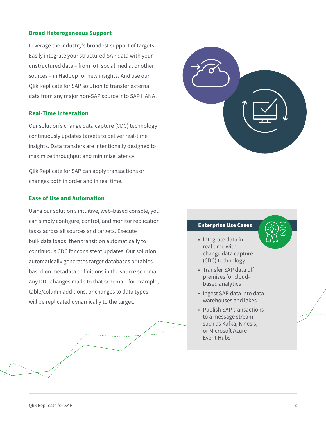#### **Broad Heterogeneous Support**

Leverage the industry's broadest support of targets. Easily integrate your structured SAP data with your unstructured data – from IoT, social media, or other sources – in Hadoop for new insights. And use our Qlik Replicate for SAP solution to transfer external data from any major non-SAP source into SAP HANA.

#### **Real-Time Integration**

Our solution's change data capture (CDC) technology continuously updates targets to deliver real-time insights. Data transfers are intentionally designed to maximize throughput and minimize latency.

Qlik Replicate for SAP can apply transactions or changes both in order and in real time.

#### **Ease of Use and Automation**

Using our solution's intuitive, web-based console, you can simply configure, control, and monitor replication tasks across all sources and targets. Execute bulk data loads, then transition automatically to continuous CDC for consistent updates. Our solution automatically generates target databases or tables based on metadata definitions in the source schema. Any DDL changes made to that schema – for example, table/column additions, or changes to data types – will be replicated dynamically to the target.



#### **Enterprise Use Cases**

- Integrate data in real time with change data capture (CDC) technology
- Transfer SAP data off premises for cloudbased analytics
- Ingest SAP data into data warehouses and lakes
- Publish SAP transactions to a message stream such as Kafka, Kinesis, or Microsoft Azure Event Hubs